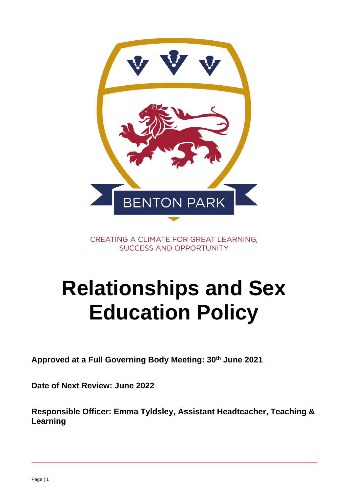

CREATING A CLIMATE FOR GREAT LEARNING, **SUCCESS AND OPPORTUNITY** 

# **Relationships and Sex Education Policy**

**Approved at a Full Governing Body Meeting: 30th June 2021**

**Date of Next Review: June 2022**

**Responsible Officer: Emma Tyldsley, Assistant Headteacher, Teaching & Learning**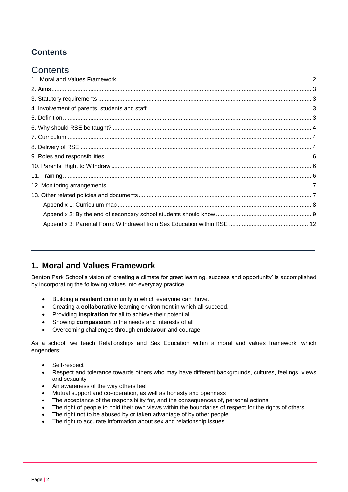# **Contents**

# **Contents**

## <span id="page-1-0"></span>**1. Moral and Values Framework**

Benton Park School's vision of 'creating a climate for great learning, success and opportunity' is accomplished by incorporating the following values into everyday practice:

- Building a **resilient** community in which everyone can thrive.
- Creating a **collaborative** learning environment in which all succeed.
- Providing **inspiration** for all to achieve their potential
- Showing **compassion** to the needs and interests of all
- Overcoming challenges through **endeavour** and courage

As a school, we teach Relationships and Sex Education within a moral and values framework, which engenders:

- Self-respect
- Respect and tolerance towards others who may have different backgrounds, cultures, feelings, views and sexuality
- An awareness of the way others feel
- Mutual support and co-operation, as well as honesty and openness
- The acceptance of the responsibility for, and the consequences of, personal actions
- The right of people to hold their own views within the boundaries of respect for the rights of others
- The right not to be abused by or taken advantage of by other people
- The right to accurate information about sex and relationship issues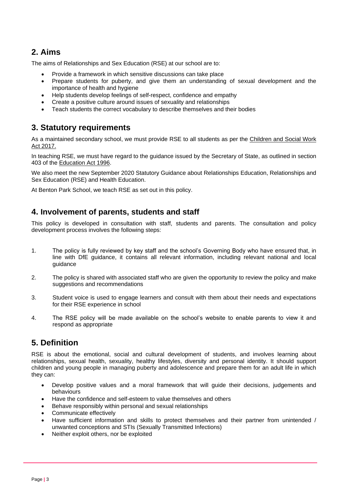## <span id="page-2-0"></span>**2. Aims**

The aims of Relationships and Sex Education (RSE) at our school are to:

- Provide a framework in which sensitive discussions can take place
- Prepare students for puberty, and give them an understanding of sexual development and the importance of health and hygiene
- Help students develop feelings of self-respect, confidence and empathy
- Create a positive culture around issues of sexuality and relationships
- Teach students the correct vocabulary to describe themselves and their bodies

### <span id="page-2-1"></span>**3. Statutory requirements**

As a maintained secondary school, we must provide RSE to all students as per the [Children and Social Work](http://www.legislation.gov.uk/ukpga/2017/16/section/34/enacted)  [Act 2017.](http://www.legislation.gov.uk/ukpga/2017/16/section/34/enacted)

In teaching RSE, we must have regard to the guidance issued by the Secretary of State, as outlined in section 403 of the [Education Act 1996.](http://www.legislation.gov.uk/ukpga/1996/56/contents)

We also meet the new September 2020 Statutory Guidance about Relationships Education, Relationships and Sex Education (RSE) and Health Education.

At Benton Park School, we teach RSE as set out in this policy.

#### <span id="page-2-2"></span>**4. Involvement of parents, students and staff**

This policy is developed in consultation with staff, students and parents. The consultation and policy development process involves the following steps:

- 1. The policy is fully reviewed by key staff and the school's Governing Body who have ensured that, in line with DfE guidance, it contains all relevant information, including relevant national and local guidance
- 2. The policy is shared with associated staff who are given the opportunity to review the policy and make suggestions and recommendations
- 3. Student voice is used to engage learners and consult with them about their needs and expectations for their RSE experience in school
- 4. The RSE policy will be made available on the school's website to enable parents to view it and respond as appropriate

## <span id="page-2-3"></span>**5. Definition**

RSE is about the emotional, social and cultural development of students, and involves learning about relationships, sexual health, sexuality, healthy lifestyles, diversity and personal identity. It should support children and young people in managing puberty and adolescence and prepare them for an adult life in which they can:

- Develop positive values and a moral framework that will guide their decisions, judgements and behaviours
- Have the confidence and self-esteem to value themselves and others
- Behave responsibly within personal and sexual relationships
- Communicate effectively
- Have sufficient information and skills to protect themselves and their partner from unintended / unwanted conceptions and STIs (Sexually Transmitted Infections)
- Neither exploit others, nor be exploited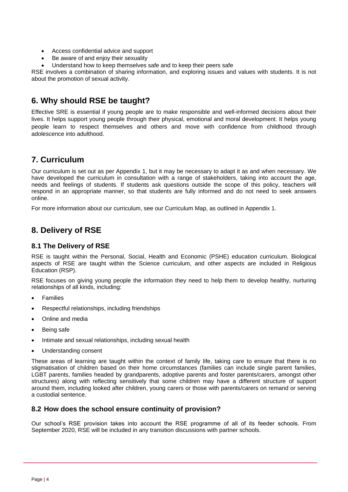- Access confidential advice and support
- Be aware of and enjoy their sexuality
- Understand how to keep themselves safe and to keep their peers safe

RSE involves a combination of sharing information, and exploring issues and values with students. It is not about the promotion of sexual activity.

## <span id="page-3-0"></span>**6. Why should RSE be taught?**

Effective SRE is essential if young people are to make responsible and well-informed decisions about their lives. It helps support young people through their physical, emotional and moral development. It helps young people learn to respect themselves and others and move with confidence from childhood through adolescence into adulthood.

## <span id="page-3-1"></span>**7. Curriculum**

Our curriculum is set out as per Appendix 1, but it may be necessary to adapt it as and when necessary. We have developed the curriculum in consultation with a range of stakeholders, taking into account the age, needs and feelings of students. If students ask questions outside the scope of this policy, teachers will respond in an appropriate manner, so that students are fully informed and do not need to seek answers online.

For more information about our curriculum, see our Curriculum Map, as outlined in Appendix 1.

## <span id="page-3-2"></span>**8. Delivery of RSE**

#### **8.1 The Delivery of RSE**

RSE is taught within the Personal, Social, Health and Economic (PSHE) education curriculum. Biological aspects of RSE are taught within the Science curriculum, and other aspects are included in Religious Education (RSP).

RSE focuses on giving young people the information they need to help them to develop healthy, nurturing relationships of all kinds, including:

- Families
- Respectful relationships, including friendships
- Online and media
- Being safe
- Intimate and sexual relationships, including sexual health
- Understanding consent

These areas of learning are taught within the context of family life, taking care to ensure that there is no stigmatisation of children based on their home circumstances (families can include single parent families, LGBT parents, families headed by grandparents, adoptive parents and foster parents/carers, amongst other structures) along with reflecting sensitively that some children may have a different structure of support around them, including looked after children, young carers or those with parents/carers on remand or serving a custodial sentence.

#### **8.2 How does the school ensure continuity of provision?**

Our school's RSE provision takes into account the RSE programme of all of its feeder schools. From September 2020, RSE will be included in any transition discussions with partner schools.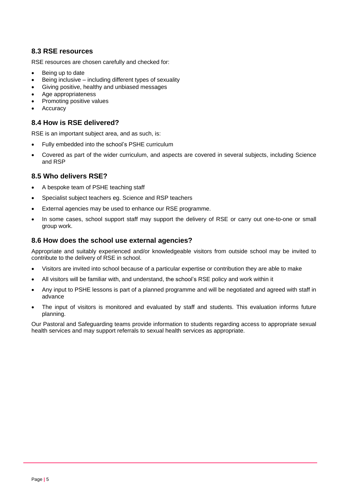#### **8.3 RSE resources**

RSE resources are chosen carefully and checked for:

- Being up to date
- Being inclusive including different types of sexuality
- Giving positive, healthy and unbiased messages
- Age appropriateness
- Promoting positive values
- Accuracy

#### **8.4 How is RSE delivered?**

RSE is an important subject area, and as such, is:

- Fully embedded into the school's PSHE curriculum
- Covered as part of the wider curriculum, and aspects are covered in several subjects, including Science and RSP

#### **8.5 Who delivers RSE?**

- A bespoke team of PSHE teaching staff
- Specialist subject teachers eg. Science and RSP teachers
- External agencies may be used to enhance our RSE programme.
- In some cases, school support staff may support the delivery of RSE or carry out one-to-one or small group work.

#### **8.6 How does the school use external agencies?**

Appropriate and suitably experienced and/or knowledgeable visitors from outside school may be invited to contribute to the delivery of RSE in school.

- Visitors are invited into school because of a particular expertise or contribution they are able to make
- All visitors will be familiar with, and understand, the school's RSE policy and work within it
- Any input to PSHE lessons is part of a planned programme and will be negotiated and agreed with staff in advance
- The input of visitors is monitored and evaluated by staff and students. This evaluation informs future planning.

Our Pastoral and Safeguarding teams provide information to students regarding access to appropriate sexual health services and may support referrals to sexual health services as appropriate.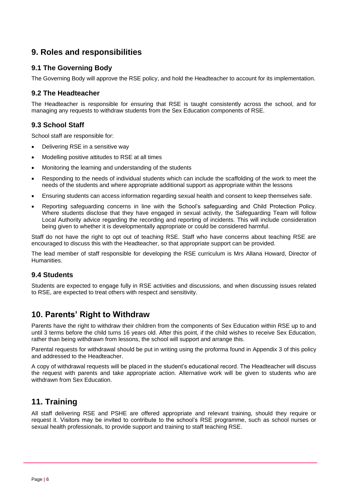## <span id="page-5-0"></span>**9. Roles and responsibilities**

#### **9.1 The Governing Body**

The Governing Body will approve the RSE policy, and hold the Headteacher to account for its implementation.

#### **9.2 The Headteacher**

The Headteacher is responsible for ensuring that RSE is taught consistently across the school, and for managing any requests to withdraw students from the Sex Education components of RSE.

#### **9.3 School Staff**

School staff are responsible for:

- Delivering RSE in a sensitive way
- Modelling positive attitudes to RSE at all times
- Monitoring the learning and understanding of the students
- Responding to the needs of individual students which can include the scaffolding of the work to meet the needs of the students and where appropriate additional support as appropriate within the lessons
- Ensuring students can access information regarding sexual health and consent to keep themselves safe.
- Reporting safeguarding concerns in line with the School's safeguarding and Child Protection Policy. Where students disclose that they have engaged in sexual activity, the Safeguarding Team will follow Local Authority advice regarding the recording and reporting of incidents. This will include consideration being given to whether it is developmentally appropriate or could be considered harmful.

Staff do not have the right to opt out of teaching RSE. Staff who have concerns about teaching RSE are encouraged to discuss this with the Headteacher, so that appropriate support can be provided.

The lead member of staff responsible for developing the RSE curriculum is Mrs Allana Howard, Director of **Humanities** 

#### **9.4 Students**

Students are expected to engage fully in RSE activities and discussions, and when discussing issues related to RSE, are expected to treat others with respect and sensitivity.

## <span id="page-5-1"></span>**10. Parents' Right to Withdraw**

Parents have the right to withdraw their children from the components of Sex Education within RSE up to and until 3 terms before the child turns 16 years old. After this point, if the child wishes to receive Sex Education, rather than being withdrawn from lessons, the school will support and arrange this.

Parental requests for withdrawal should be put in writing using the proforma found in Appendix 3 of this policy and addressed to the Headteacher.

A copy of withdrawal requests will be placed in the student's educational record. The Headteacher will discuss the request with parents and take appropriate action. Alternative work will be given to students who are withdrawn from Sex Education.

## <span id="page-5-2"></span>**11. Training**

All staff delivering RSE and PSHE are offered appropriate and relevant training, should they require or request it. Visitors may be invited to contribute to the school's RSE programme, such as school nurses or sexual health professionals, to provide support and training to staff teaching RSE.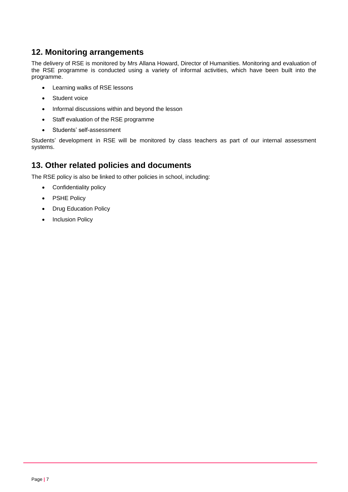## <span id="page-6-0"></span>**12. Monitoring arrangements**

The delivery of RSE is monitored by Mrs Allana Howard, Director of Humanities. Monitoring and evaluation of the RSE programme is conducted using a variety of informal activities, which have been built into the programme.

- Learning walks of RSE lessons
- Student voice
- Informal discussions within and beyond the lesson
- Staff evaluation of the RSE programme
- Students' self-assessment

Students' development in RSE will be monitored by class teachers as part of our internal assessment systems.

## <span id="page-6-1"></span>**13. Other related policies and documents**

The RSE policy is also be linked to other policies in school, including:

- Confidentiality policy
- PSHE Policy
- Drug Education Policy
- Inclusion Policy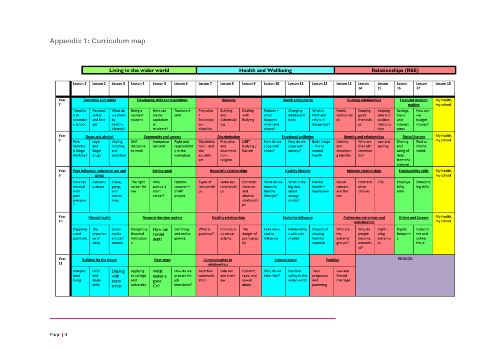<span id="page-7-0"></span>

|                        | Living in the wider world                      |                                                              |                                                   |                                              |                                                          | <b>Health and Wellbeing</b>                                |                                                      |                                                                               |                                                              | <b>Relationships (RSE)</b>                        |                                                                  |                                                      |                                            |                                                                            |                                                       |                                                            |                                                        |                         |
|------------------------|------------------------------------------------|--------------------------------------------------------------|---------------------------------------------------|----------------------------------------------|----------------------------------------------------------|------------------------------------------------------------|------------------------------------------------------|-------------------------------------------------------------------------------|--------------------------------------------------------------|---------------------------------------------------|------------------------------------------------------------------|------------------------------------------------------|--------------------------------------------|----------------------------------------------------------------------------|-------------------------------------------------------|------------------------------------------------------------|--------------------------------------------------------|-------------------------|
|                        |                                                |                                                              |                                                   |                                              |                                                          |                                                            |                                                      |                                                                               |                                                              |                                                   |                                                                  |                                                      |                                            |                                                                            |                                                       |                                                            |                                                        |                         |
|                        | Lesson 1                                       | Lesson 2                                                     | Lesson 3                                          | Lesson 4                                     | Lesson 5                                                 | Lesson 6                                                   | Lesson 7                                             | Lesson 8                                                                      | Lesson 9                                                     | Lesson 10                                         | Lesson 11                                                        | Lesson 12                                            | Lesson 13                                  | Lesson<br>14                                                               | Lesson<br>15                                          | Lesson<br>16                                               | Lesson<br>17                                           | Lesson 18               |
| Year<br>$\overline{z}$ | <b>Transition and safety</b>                   |                                                              | <b>Developing skills and aspirations</b>          |                                              | <b>Diversity</b>                                         |                                                            | <b>Health and puberty</b>                            |                                                                               | <b>Building relationships</b>                                |                                                   | <b>Financial decision</b><br>making                              |                                                      | My health.<br>my school                    |                                                                            |                                                       |                                                            |                                                        |                         |
|                        | Transitio<br>n to<br>secondar<br>school        | Personal<br>safety<br>and first<br>aid                       | What do<br>we mean<br>by<br>healthy<br>lifestyle? | Being a<br>resilient<br>student              | How can<br>we be<br>aspiration<br>al.<br>students?       | Teamwork<br>skills                                         | Prejudice<br>Stereotyp<br>$es -$<br>disability       | <b>Bullying</b><br>and<br>Cyberbully<br>ing                                   | Dealing<br>with<br><b>Bullying</b>                           | Puberty-<br>what<br>happens<br>when and<br>where? | Changing<br>adolescent<br>body                                   | What is<br><b>FGM and</b><br>why is it<br>dangerous? | Family<br>relationshi<br>ps.               | Keeping<br>good<br>friendshi<br>ps.                                        | Keeping<br>safe and<br>positive<br>relations<br>hips. | Savings,<br>loans<br>and<br>interest<br>rates              | How can<br>we<br>budget<br>money?                      |                         |
| Year<br>8              | How<br>harmful<br>is binge<br>drinking?        | <b>Drugs and alcohol</b><br>Legal<br>and<br>illegal<br>drugs | Vaping,<br>nicotine.<br>and<br>addiction          | Self-<br>discipline<br>to work               | <b>Community and careers</b><br>Interperso<br>nal skills | <b>Right and</b><br>responsibilit<br>v in the<br>workplace | Discrimina<br>$tion = and$<br>the<br>equality<br>act | <b>Discrimination</b><br>Prejudice<br>and<br>discrimina<br>tion -<br>religion | <b>LGBT</b><br>Bullying /<br>Racism                          | How do we<br>cope with<br>stress?                 | <b>Emotional wellbeing</b><br>How do we<br>cope with<br>anxiety? | <b>Body Image</b><br>$=$ link to<br>mental<br>health | Identity<br>and<br>developin<br>g identity | <b>Identity and relationships</b><br>Who are<br>the LGBT<br>commun<br>ity? | Law and<br>sexting                                    | Sharing<br>and<br>using of<br>data<br>from the<br>internet | <b>Digital literacy</b><br>Real vs<br>Online<br>world. | My health.<br>my school |
| Year<br>9              | Peer influence, substance use and<br>gangs     |                                                              | <b>Setting goals</b>                              |                                              |                                                          | <b>Respectful relationships</b>                            |                                                      | <b>Healthy lifestyle</b>                                                      |                                                              | <b>Intimate relationships</b>                     |                                                                  | <b>Employability skills</b>                          |                                            | My health,<br>my school                                                    |                                                       |                                                            |                                                        |                         |
|                        | How can<br>we deal<br>with<br>peer<br>pressure | Substanc<br>e abuse                                          | Crime,<br>gangs,<br>and<br>county<br>lines        | The right<br>career for<br>me                | Why<br>pursue a<br>stem<br>career?                       | Options<br>research-<br><b>START</b><br>project            | Types of<br>relationshi<br>ps.                       | Same sex<br>relationshi<br>ps.                                                | Domestic<br>violence<br>and<br>abusive<br>relationshi<br>DS. | What do we<br>mean by<br>healthy<br>lifestyle?    | What is the<br>big deal<br>about<br>energy<br>drinks?            | Mental<br>health-<br>depression                      | Sexual<br>consent<br>and the<br>law        | Contrace<br>ptive<br>choices                                               | <b>STIS</b>                                           | Employa<br>bility<br>skills                                | <b>Enterpris</b><br>ing skills                         |                         |
| Year<br>10             | <b>Mental health</b>                           |                                                              | <b>Financial decision making</b>                  |                                              |                                                          | <b>Healthy relationships</b>                               |                                                      | <b>Exploring influence</b>                                                    |                                                              | <b>Addressing extremism and</b><br>radicalisation |                                                                  | <b>Online and Careers</b>                            |                                            | My health.<br>my school                                                    |                                                       |                                                            |                                                        |                         |
|                        | lappines<br>and<br>positivity                  | The<br>importan<br>ce of<br>sleep                            | Social<br>media<br>and self<br>esteem             | Navigating<br>financial<br>institution<br>s. | How can<br>I avoid<br>debt?                              | Gambling<br>and online<br>gaming                           | What is<br>good sex?                                 | Promiscuo<br>us sexual<br>activity                                            | <b>The</b><br>danger of<br>pornograp<br>hy                   | <b>Fake news</b><br>and its<br>influence          | Relationship<br>s with role<br>models                            | Impacts of<br>viewing<br>harmful<br>material         | Who are<br>the<br>extreme<br>groups?       | Why do<br>people<br>become<br>extremis<br>ts?                              | $Right -$<br>wing<br>extremis<br>m                    | Digital<br>footprint                                       | Cybercri<br>me and<br>online<br>fraud                  |                         |
| Year<br>11             | <b>Building for the future</b>                 |                                                              | <b>Next steps</b>                                 |                                              | <b>Communication in</b><br>relationships                 |                                                            | Independence                                         |                                                                               | <b>Families</b>                                              |                                                   | <b>REVISION</b>                                                  |                                                      |                                            |                                                                            |                                                       |                                                            |                                                        |                         |
|                        | ndepen<br>fent<br>iving                        | <b>GCSE</b><br>and<br>study<br>skills                        | <b>Dealing</b><br>with<br>exam<br>stress          | Applying<br>to college<br>and<br>university  | What<br>makes a<br>good<br>CV?                           | How do we<br>prepare for<br>job<br>interviews?             | <b>Assertive</b><br>communic<br>ation                | Safe sex<br>and chem<br>sex                                                   | Consent,<br>rape, and<br>sexual<br>abuse                     | Why do we<br>take risks?                          | Personal<br>safety in the<br>wider world                         | Teen<br>pregnancy<br>and<br>parenting                | Law and<br>Forced<br>marriage              |                                                                            |                                                       |                                                            |                                                        |                         |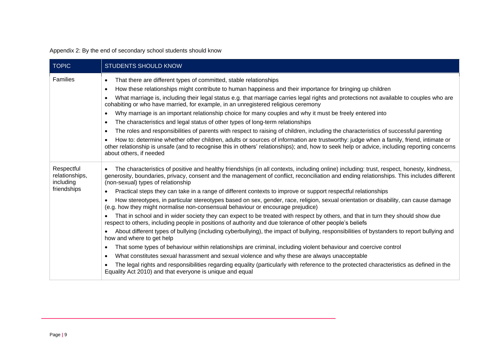Appendix 2: By the end of secondary school students should know

<span id="page-8-0"></span>

| <b>TOPIC</b>                              | <b>STUDENTS SHOULD KNOW</b>                                                                                                                                                                                                                                                                                                                                                                                                                                                                                                                                                                                                                                                                                                                                                                                                         |  |  |  |  |  |  |
|-------------------------------------------|-------------------------------------------------------------------------------------------------------------------------------------------------------------------------------------------------------------------------------------------------------------------------------------------------------------------------------------------------------------------------------------------------------------------------------------------------------------------------------------------------------------------------------------------------------------------------------------------------------------------------------------------------------------------------------------------------------------------------------------------------------------------------------------------------------------------------------------|--|--|--|--|--|--|
| <b>Families</b>                           | That there are different types of committed, stable relationships<br>$\bullet$<br>How these relationships might contribute to human happiness and their importance for bringing up children<br>$\bullet$<br>What marriage is, including their legal status e.g. that marriage carries legal rights and protections not available to couples who are<br>$\bullet$<br>cohabiting or who have married, for example, in an unregistered religious ceremony<br>Why marriage is an important relationship choice for many couples and why it must be freely entered into<br>$\bullet$<br>The characteristics and legal status of other types of long-term relationships<br>$\bullet$<br>The roles and responsibilities of parents with respect to raising of children, including the characteristics of successful parenting<br>$\bullet$ |  |  |  |  |  |  |
|                                           | How to: determine whether other children, adults or sources of information are trustworthy: judge when a family, friend, intimate or<br>other relationship is unsafe (and to recognise this in others' relationships); and, how to seek help or advice, including reporting concerns<br>about others, if needed                                                                                                                                                                                                                                                                                                                                                                                                                                                                                                                     |  |  |  |  |  |  |
| Respectful<br>relationships,<br>including | The characteristics of positive and healthy friendships (in all contexts, including online) including: trust, respect, honesty, kindness,<br>generosity, boundaries, privacy, consent and the management of conflict, reconciliation and ending relationships. This includes different<br>(non-sexual) types of relationship                                                                                                                                                                                                                                                                                                                                                                                                                                                                                                        |  |  |  |  |  |  |
| friendships                               | Practical steps they can take in a range of different contexts to improve or support respectful relationships<br>$\bullet$                                                                                                                                                                                                                                                                                                                                                                                                                                                                                                                                                                                                                                                                                                          |  |  |  |  |  |  |
|                                           | How stereotypes, in particular stereotypes based on sex, gender, race, religion, sexual orientation or disability, can cause damage<br>$\bullet$<br>(e.g. how they might normalise non-consensual behaviour or encourage prejudice)                                                                                                                                                                                                                                                                                                                                                                                                                                                                                                                                                                                                 |  |  |  |  |  |  |
|                                           | That in school and in wider society they can expect to be treated with respect by others, and that in turn they should show due<br>respect to others, including people in positions of authority and due tolerance of other people's beliefs                                                                                                                                                                                                                                                                                                                                                                                                                                                                                                                                                                                        |  |  |  |  |  |  |
|                                           | About different types of bullying (including cyberbullying), the impact of bullying, responsibilities of bystanders to report bullying and<br>how and where to get help                                                                                                                                                                                                                                                                                                                                                                                                                                                                                                                                                                                                                                                             |  |  |  |  |  |  |
|                                           | That some types of behaviour within relationships are criminal, including violent behaviour and coercive control<br>$\bullet$                                                                                                                                                                                                                                                                                                                                                                                                                                                                                                                                                                                                                                                                                                       |  |  |  |  |  |  |
|                                           | What constitutes sexual harassment and sexual violence and why these are always unacceptable<br>$\bullet$                                                                                                                                                                                                                                                                                                                                                                                                                                                                                                                                                                                                                                                                                                                           |  |  |  |  |  |  |
|                                           | The legal rights and responsibilities regarding equality (particularly with reference to the protected characteristics as defined in the<br>$\bullet$<br>Equality Act 2010) and that everyone is unique and equal                                                                                                                                                                                                                                                                                                                                                                                                                                                                                                                                                                                                                   |  |  |  |  |  |  |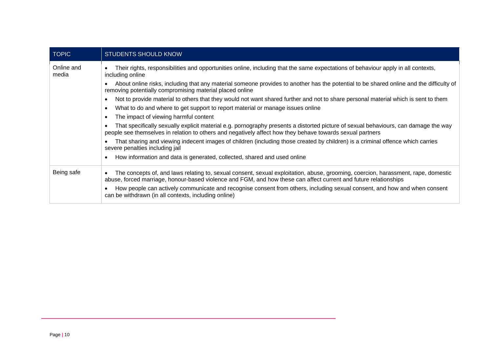| <b>TOPIC</b>        | <b>STUDENTS SHOULD KNOW</b>                                                                                                                                                                                                                                        |
|---------------------|--------------------------------------------------------------------------------------------------------------------------------------------------------------------------------------------------------------------------------------------------------------------|
| Online and<br>media | Their rights, responsibilities and opportunities online, including that the same expectations of behaviour apply in all contexts,<br>including online                                                                                                              |
|                     | About online risks, including that any material someone provides to another has the potential to be shared online and the difficulty of<br>$\bullet$<br>removing potentially compromising material placed online                                                   |
|                     | Not to provide material to others that they would not want shared further and not to share personal material which is sent to them<br>$\bullet$                                                                                                                    |
|                     | What to do and where to get support to report material or manage issues online<br>$\bullet$                                                                                                                                                                        |
|                     | The impact of viewing harmful content<br>$\bullet$                                                                                                                                                                                                                 |
|                     | That specifically sexually explicit material e.g. pornography presents a distorted picture of sexual behaviours, can damage the way<br>$\bullet$<br>people see themselves in relation to others and negatively affect how they behave towards sexual partners      |
|                     | That sharing and viewing indecent images of children (including those created by children) is a criminal offence which carries<br>$\bullet$<br>severe penalties including jail                                                                                     |
|                     | How information and data is generated, collected, shared and used online<br>$\bullet$                                                                                                                                                                              |
| Being safe          | The concepts of, and laws relating to, sexual consent, sexual exploitation, abuse, grooming, coercion, harassment, rape, domestic<br>$\bullet$<br>abuse, forced marriage, honour-based violence and FGM, and how these can affect current and future relationships |
|                     | How people can actively communicate and recognise consent from others, including sexual consent, and how and when consent<br>can be withdrawn (in all contexts, including online)                                                                                  |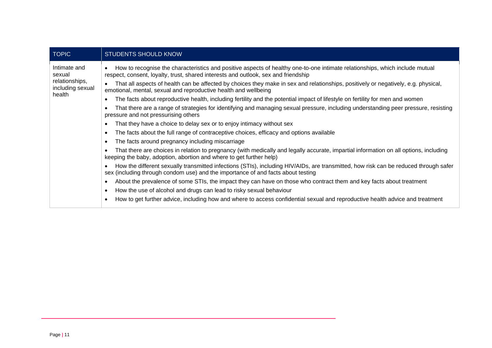| <b>TOPIC</b>                                 | <b>STUDENTS SHOULD KNOW</b>                                                                                                                                                                                              |  |  |  |  |  |  |  |
|----------------------------------------------|--------------------------------------------------------------------------------------------------------------------------------------------------------------------------------------------------------------------------|--|--|--|--|--|--|--|
| Intimate and<br>sexual                       | How to recognise the characteristics and positive aspects of healthy one-to-one intimate relationships, which include mutual<br>respect, consent, loyalty, trust, shared interests and outlook, sex and friendship       |  |  |  |  |  |  |  |
| relationships,<br>including sexual<br>health | That all aspects of health can be affected by choices they make in sex and relationships, positively or negatively, e.g. physical,<br>emotional, mental, sexual and reproductive health and wellbeing                    |  |  |  |  |  |  |  |
|                                              | The facts about reproductive health, including fertility and the potential impact of lifestyle on fertility for men and women                                                                                            |  |  |  |  |  |  |  |
|                                              | That there are a range of strategies for identifying and managing sexual pressure, including understanding peer pressure, resisting<br>pressure and not pressurising others                                              |  |  |  |  |  |  |  |
|                                              | That they have a choice to delay sex or to enjoy intimacy without sex                                                                                                                                                    |  |  |  |  |  |  |  |
|                                              | The facts about the full range of contraceptive choices, efficacy and options available                                                                                                                                  |  |  |  |  |  |  |  |
|                                              | The facts around pregnancy including miscarriage                                                                                                                                                                         |  |  |  |  |  |  |  |
|                                              | That there are choices in relation to pregnancy (with medically and legally accurate, impartial information on all options, including<br>keeping the baby, adoption, abortion and where to get further help)             |  |  |  |  |  |  |  |
|                                              | How the different sexually transmitted infections (STIs), including HIV/AIDs, are transmitted, how risk can be reduced through safer<br>sex (including through condom use) and the importance of and facts about testing |  |  |  |  |  |  |  |
|                                              | About the prevalence of some STIs, the impact they can have on those who contract them and key facts about treatment                                                                                                     |  |  |  |  |  |  |  |
|                                              | How the use of alcohol and drugs can lead to risky sexual behaviour                                                                                                                                                      |  |  |  |  |  |  |  |
|                                              | How to get further advice, including how and where to access confidential sexual and reproductive health advice and treatment                                                                                            |  |  |  |  |  |  |  |